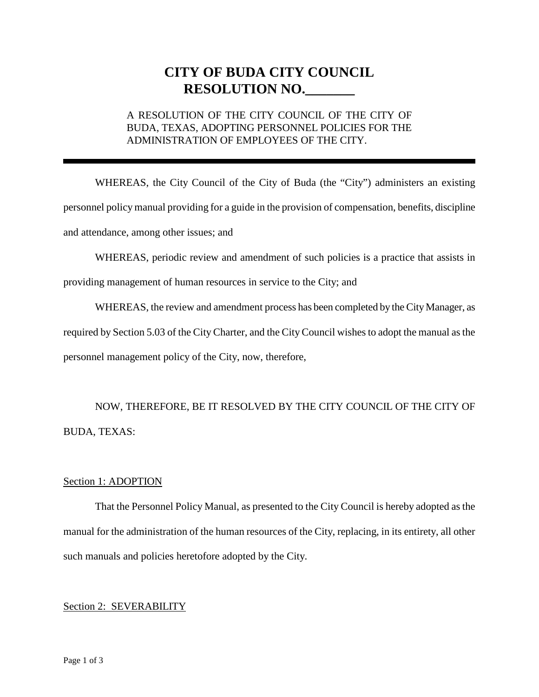# **CITY OF BUDA CITY COUNCIL RESOLUTION NO.\_\_\_\_\_\_\_**

## A RESOLUTION OF THE CITY COUNCIL OF THE CITY OF BUDA, TEXAS, ADOPTING PERSONNEL POLICIES FOR THE ADMINISTRATION OF EMPLOYEES OF THE CITY.

WHEREAS, the City Council of the City of Buda (the "City") administers an existing personnel policy manual providing for a guide in the provision of compensation, benefits, discipline and attendance, among other issues; and

WHEREAS, periodic review and amendment of such policies is a practice that assists in

providing management of human resources in service to the City; and

WHEREAS, the review and amendment process has been completed by the City Manager, as required by Section 5.03 of the City Charter, and the City Council wishes to adopt the manual as the personnel management policy of the City, now, therefore,

NOW, THEREFORE, BE IT RESOLVED BY THE CITY COUNCIL OF THE CITY OF BUDA, TEXAS:

### Section 1: ADOPTION

That the Personnel Policy Manual, as presented to the City Council is hereby adopted as the manual for the administration of the human resources of the City, replacing, in its entirety, all other such manuals and policies heretofore adopted by the City.

### Section 2: SEVERABILITY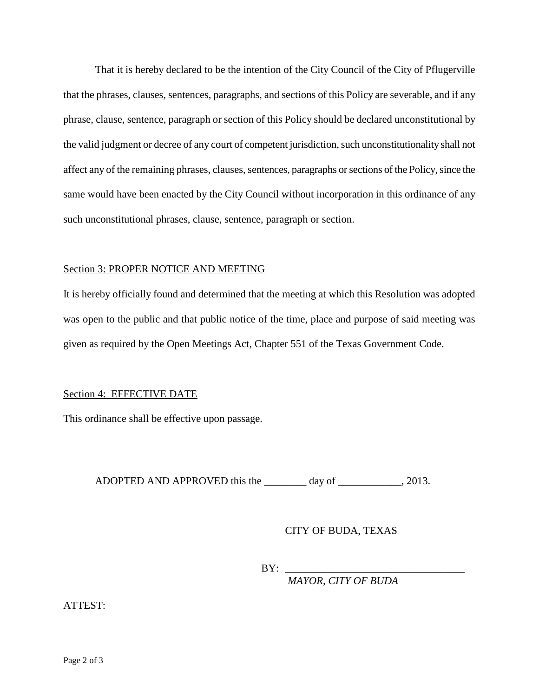That it is hereby declared to be the intention of the City Council of the City of Pflugerville that the phrases, clauses, sentences, paragraphs, and sections of this Policy are severable, and if any phrase, clause, sentence, paragraph or section of this Policy should be declared unconstitutional by the valid judgment or decree of any court of competent jurisdiction, such unconstitutionality shall not affect any of the remaining phrases, clauses, sentences, paragraphs or sections of the Policy, since the same would have been enacted by the City Council without incorporation in this ordinance of any such unconstitutional phrases, clause, sentence, paragraph or section.

#### Section 3: PROPER NOTICE AND MEETING

It is hereby officially found and determined that the meeting at which this Resolution was adopted was open to the public and that public notice of the time, place and purpose of said meeting was given as required by the Open Meetings Act, Chapter 551 of the Texas Government Code.

### Section 4: EFFECTIVE DATE

This ordinance shall be effective upon passage.

ADOPTED AND APPROVED this the \_\_\_\_\_\_\_\_ day of \_\_\_\_\_\_\_\_\_\_\_\_, 2013.

### CITY OF BUDA, TEXAS

 $BY:$ 

*MAYOR, CITY OF BUDA*

ATTEST: